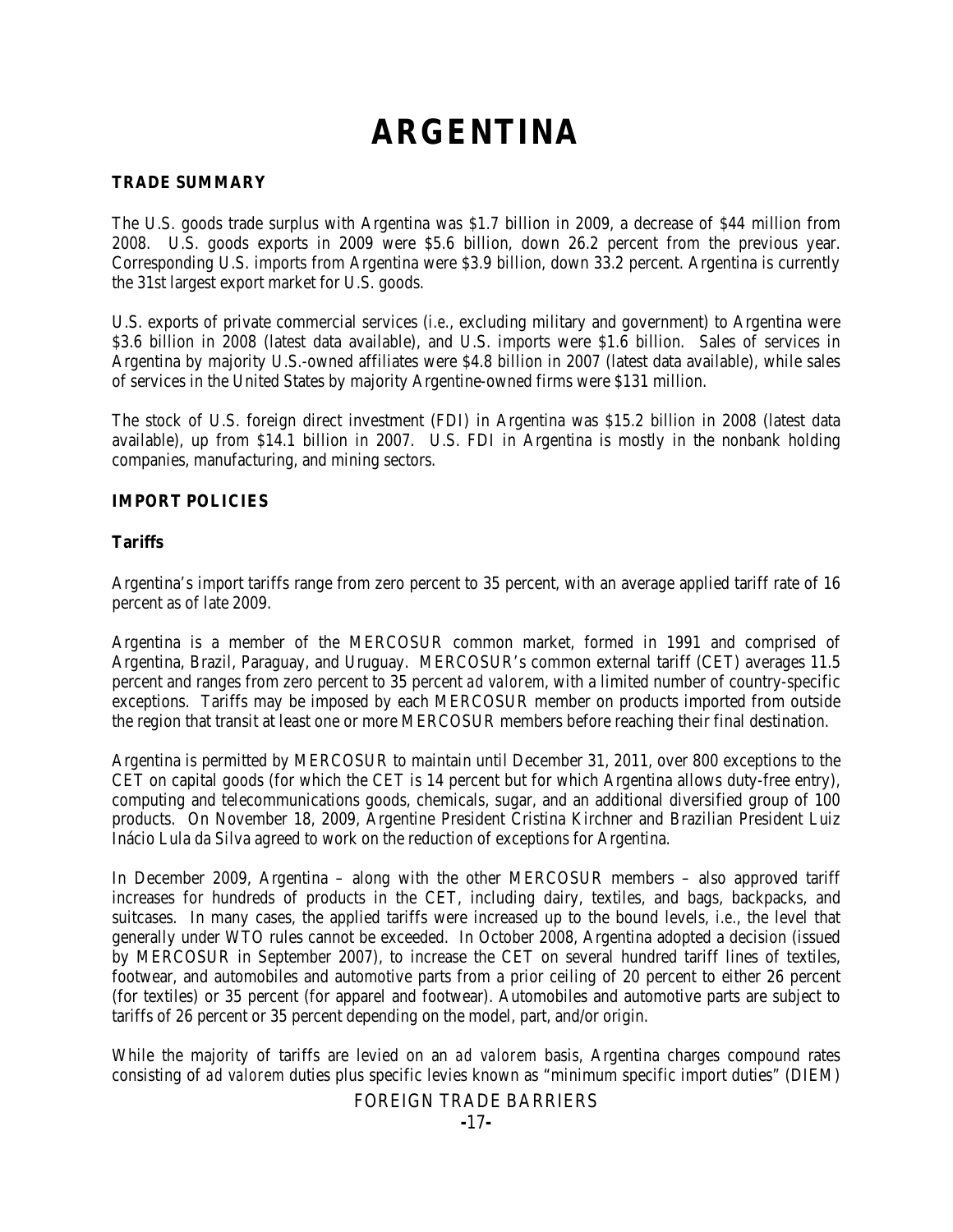# **ARGENTINA**

# **TRADE SUMMARY**

The U.S. goods trade surplus with Argentina was \$1.7 billion in 2009, a decrease of \$44 million from 2008. U.S. goods exports in 2009 were \$5.6 billion, down 26.2 percent from the previous year. Corresponding U.S. imports from Argentina were \$3.9 billion, down 33.2 percent. Argentina is currently the 31st largest export market for U.S. goods.

U.S. exports of private commercial services (*i.e.*, excluding military and government) to Argentina were \$3.6 billion in 2008 (latest data available), and U.S. imports were \$1.6 billion. Sales of services in Argentina by majority U.S.-owned affiliates were \$4.8 billion in 2007 (latest data available), while sales of services in the United States by majority Argentine-owned firms were \$131 million.

The stock of U.S. foreign direct investment (FDI) in Argentina was \$15.2 billion in 2008 (latest data available), up from \$14.1 billion in 2007. U.S. FDI in Argentina is mostly in the nonbank holding companies, manufacturing, and mining sectors.

## **IMPORT POLICIES**

## **Tariffs**

Argentina's import tariffs range from zero percent to 35 percent, with an average applied tariff rate of 16 percent as of late 2009.

Argentina is a member of the MERCOSUR common market, formed in 1991 and comprised of Argentina, Brazil, Paraguay, and Uruguay. MERCOSUR's common external tariff (CET) averages 11.5 percent and ranges from zero percent to 35 percent *ad valorem*, with a limited number of country-specific exceptions. Tariffs may be imposed by each MERCOSUR member on products imported from outside the region that transit at least one or more MERCOSUR members before reaching their final destination.

Argentina is permitted by MERCOSUR to maintain until December 31, 2011, over 800 exceptions to the CET on capital goods (for which the CET is 14 percent but for which Argentina allows duty-free entry), computing and telecommunications goods, chemicals, sugar, and an additional diversified group of 100 products. On November 18, 2009, Argentine President Cristina Kirchner and Brazilian President Luiz Inácio Lula da Silva agreed to work on the reduction of exceptions for Argentina.

In December 2009, Argentina – along with the other MERCOSUR members – also approved tariff increases for hundreds of products in the CET, including dairy, textiles, and bags, backpacks, and suitcases. In many cases, the applied tariffs were increased up to the bound levels, *i.e.*, the level that generally under WTO rules cannot be exceeded. In October 2008, Argentina adopted a decision (issued by MERCOSUR in September 2007), to increase the CET on several hundred tariff lines of textiles, footwear, and automobiles and automotive parts from a prior ceiling of 20 percent to either 26 percent (for textiles) or 35 percent (for apparel and footwear). Automobiles and automotive parts are subject to tariffs of 26 percent or 35 percent depending on the model, part, and/or origin.

While the majority of tariffs are levied on an *ad valorem* basis, Argentina charges compound rates consisting of *ad valorem* duties plus specific levies known as "minimum specific import duties" (DIEM)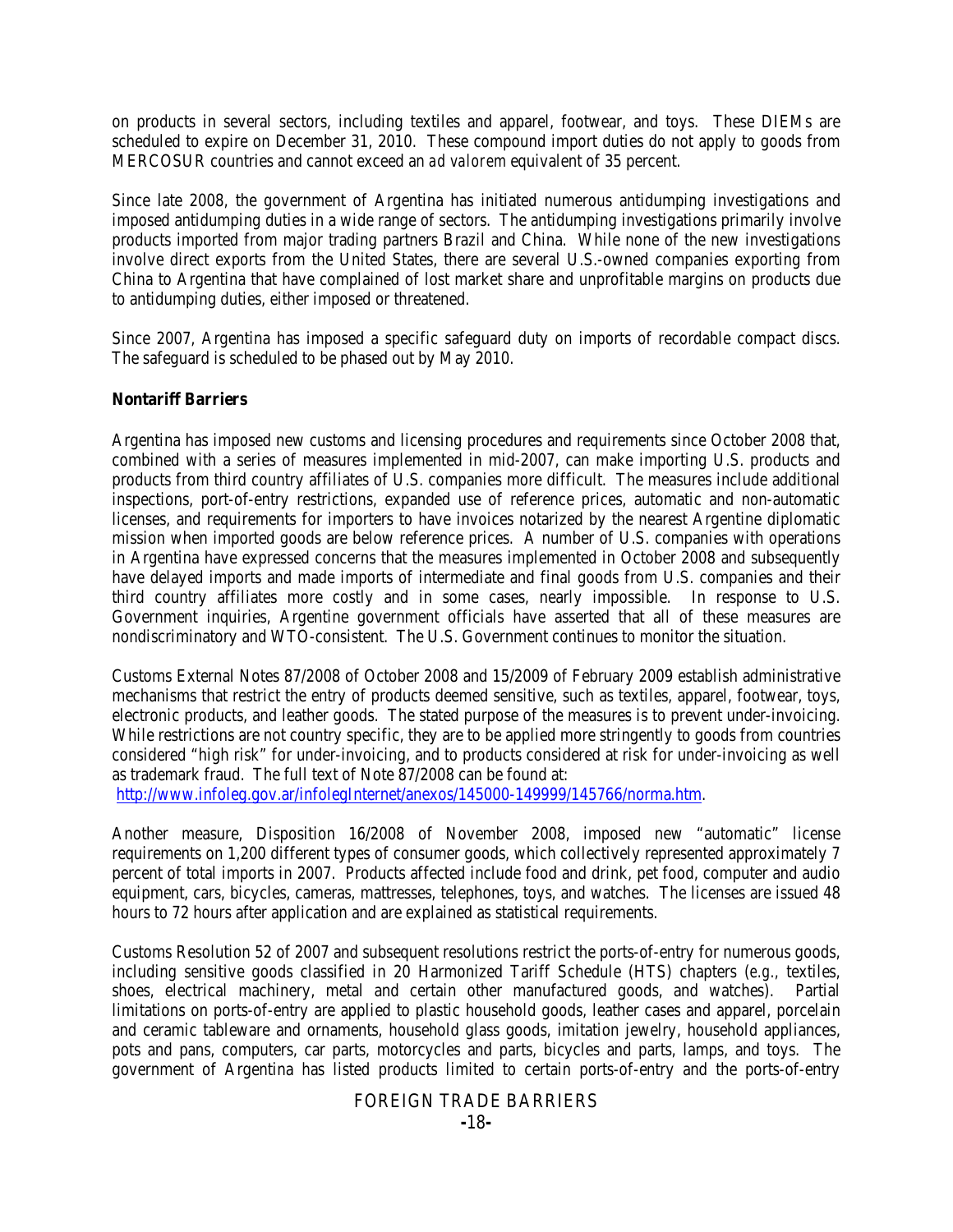on products in several sectors, including textiles and apparel, footwear, and toys. These DIEMs are scheduled to expire on December 31, 2010. These compound import duties do not apply to goods from MERCOSUR countries and cannot exceed an *ad valorem* equivalent of 35 percent.

Since late 2008, the government of Argentina has initiated numerous antidumping investigations and imposed antidumping duties in a wide range of sectors. The antidumping investigations primarily involve products imported from major trading partners Brazil and China. While none of the new investigations involve direct exports from the United States, there are several U.S.-owned companies exporting from China to Argentina that have complained of lost market share and unprofitable margins on products due to antidumping duties, either imposed or threatened.

Since 2007, Argentina has imposed a specific safeguard duty on imports of recordable compact discs. The safeguard is scheduled to be phased out by May 2010.

## **Nontariff Barriers**

Argentina has imposed new customs and licensing procedures and requirements since October 2008 that, combined with a series of measures implemented in mid-2007, can make importing U.S. products and products from third country affiliates of U.S. companies more difficult. The measures include additional inspections, port-of-entry restrictions, expanded use of reference prices, automatic and non-automatic licenses, and requirements for importers to have invoices notarized by the nearest Argentine diplomatic mission when imported goods are below reference prices. A number of U.S. companies with operations in Argentina have expressed concerns that the measures implemented in October 2008 and subsequently have delayed imports and made imports of intermediate and final goods from U.S. companies and their third country affiliates more costly and in some cases, nearly impossible. In response to U.S. Government inquiries, Argentine government officials have asserted that all of these measures are nondiscriminatory and WTO-consistent. The U.S. Government continues to monitor the situation.

Customs External Notes 87/2008 of October 2008 and 15/2009 of February 2009 establish administrative mechanisms that restrict the entry of products deemed sensitive, such as textiles, apparel, footwear, toys, electronic products, and leather goods. The stated purpose of the measures is to prevent under-invoicing. While restrictions are not country specific, they are to be applied more stringently to goods from countries considered "high risk" for under-invoicing, and to products considered at risk for under-invoicing as well as trademark fraud. The full text of Note 87/2008 can be found at:

[http://www.infoleg.gov.ar/infolegInternet/anexos/145000-149999/145766/norma.htm.](http://www.infoleg.gov.ar/infolegInternet/anexos/145000-149999/145766/norma.htm)

Another measure, Disposition 16/2008 of November 2008, imposed new "automatic" license requirements on 1,200 different types of consumer goods, which collectively represented approximately 7 percent of total imports in 2007. Products affected include food and drink, pet food, computer and audio equipment, cars, bicycles, cameras, mattresses, telephones, toys, and watches. The licenses are issued 48 hours to 72 hours after application and are explained as statistical requirements.

Customs Resolution 52 of 2007 and subsequent resolutions restrict the ports-of-entry for numerous goods, including sensitive goods classified in 20 Harmonized Tariff Schedule (HTS) chapters (*e.g.,* textiles, shoes, electrical machinery, metal and certain other manufactured goods, and watches). Partial limitations on ports-of-entry are applied to plastic household goods, leather cases and apparel, porcelain and ceramic tableware and ornaments, household glass goods, imitation jewelry, household appliances, pots and pans, computers, car parts, motorcycles and parts, bicycles and parts, lamps, and toys. The government of Argentina has listed products limited to certain ports-of-entry and the ports-of-entry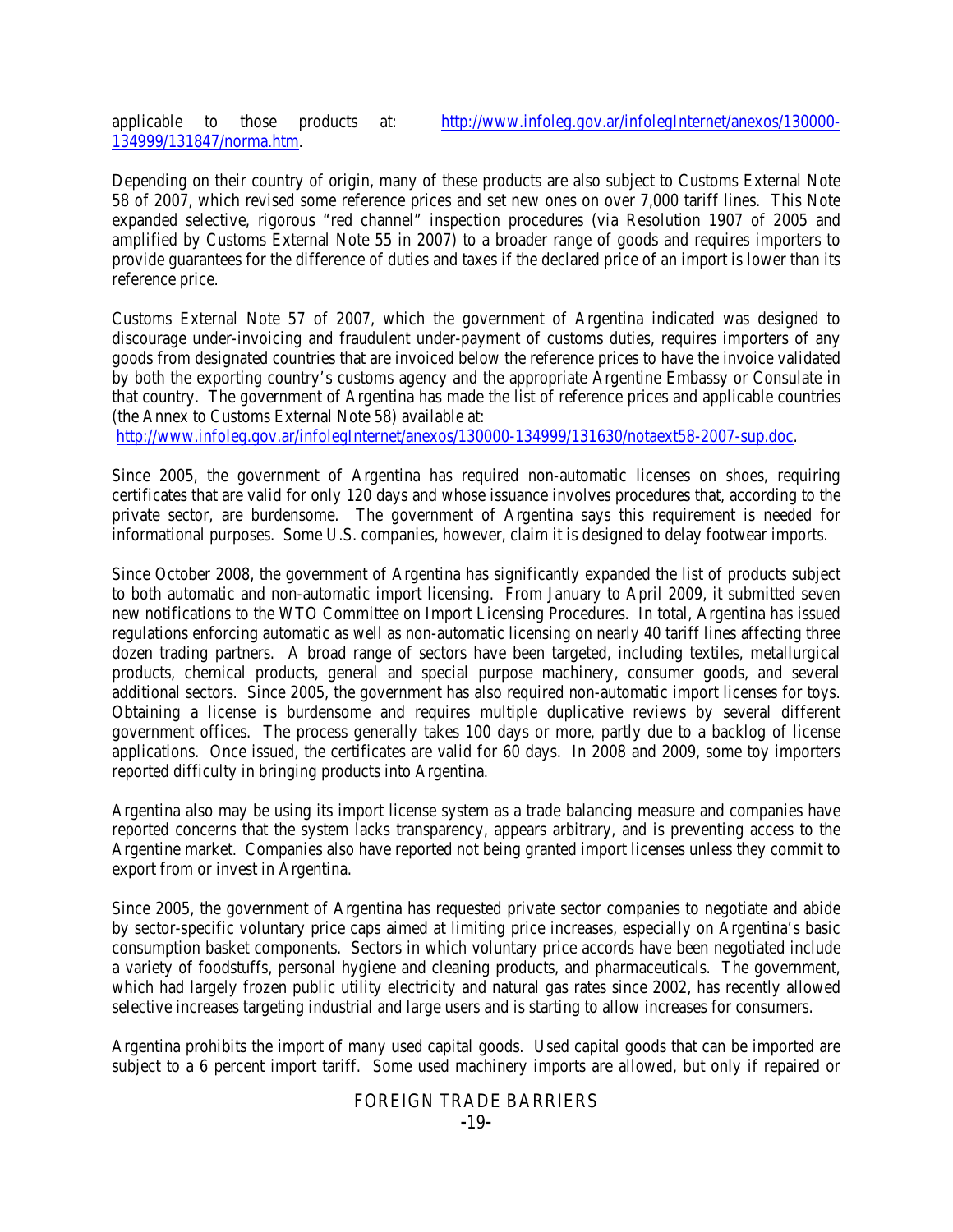applicable to those products at: [http://www.infoleg.gov.ar/infolegInternet/anexos/130000-](http://www.infoleg.gov.ar/infolegInternet/anexos/130000-134999/131847/norma.htm) [134999/131847/norma.htm.](http://www.infoleg.gov.ar/infolegInternet/anexos/130000-134999/131847/norma.htm)

reference price.

Depending on their country of origin, many of these products are also subject to Customs External Note 58 of 2007, which revised some reference prices and set new ones on over 7,000 tariff lines. This Note expanded selective, rigorous "red channel" inspection procedures (via Resolution 1907 of 2005 and amplified by Customs External Note 55 in 2007) to a broader range of goods and requires importers to provide guarantees for the difference of duties and taxes if the declared price of an import is lower than its

Customs External Note 57 of 2007, which the government of Argentina indicated was designed to discourage under-invoicing and fraudulent under-payment of customs duties, requires importers of any goods from designated countries that are invoiced below the reference prices to have the invoice validated by both the exporting country's customs agency and the appropriate Argentine Embassy or Consulate in that country. The government of Argentina has made the list of reference prices and applicable countries

(the Annex to Customs External Note 58) available at: [http://www.infoleg.gov.ar/infolegInternet/anexos/130000-134999/131630/notaext58-2007-sup.doc.](http://www.infoleg.gov.ar/infolegInternet/anexos/130000-134999/131630/notaext58-2007-sup.doc)

Since 2005, the government of Argentina has required non-automatic licenses on shoes, requiring certificates that are valid for only 120 days and whose issuance involves procedures that, according to the private sector, are burdensome. The government of Argentina says this requirement is needed for informational purposes. Some U.S. companies, however, claim it is designed to delay footwear imports.

Since October 2008, the government of Argentina has significantly expanded the list of products subject to both automatic and non-automatic import licensing. From January to April 2009, it submitted seven new notifications to the WTO Committee on Import Licensing Procedures. In total, Argentina has issued regulations enforcing automatic as well as non-automatic licensing on nearly 40 tariff lines affecting three dozen trading partners. A broad range of sectors have been targeted, including textiles, metallurgical products, chemical products, general and special purpose machinery, consumer goods, and several additional sectors. Since 2005, the government has also required non-automatic import licenses for toys. Obtaining a license is burdensome and requires multiple duplicative reviews by several different government offices. The process generally takes 100 days or more, partly due to a backlog of license applications. Once issued, the certificates are valid for 60 days. In 2008 and 2009, some toy importers reported difficulty in bringing products into Argentina.

Argentina also may be using its import license system as a trade balancing measure and companies have reported concerns that the system lacks transparency, appears arbitrary, and is preventing access to the Argentine market. Companies also have reported not being granted import licenses unless they commit to export from or invest in Argentina.

Since 2005, the government of Argentina has requested private sector companies to negotiate and abide by sector-specific voluntary price caps aimed at limiting price increases, especially on Argentina's basic consumption basket components. Sectors in which voluntary price accords have been negotiated include a variety of foodstuffs, personal hygiene and cleaning products, and pharmaceuticals. The government, which had largely frozen public utility electricity and natural gas rates since 2002, has recently allowed selective increases targeting industrial and large users and is starting to allow increases for consumers.

Argentina prohibits the import of many used capital goods. Used capital goods that can be imported are subject to a 6 percent import tariff. Some used machinery imports are allowed, but only if repaired or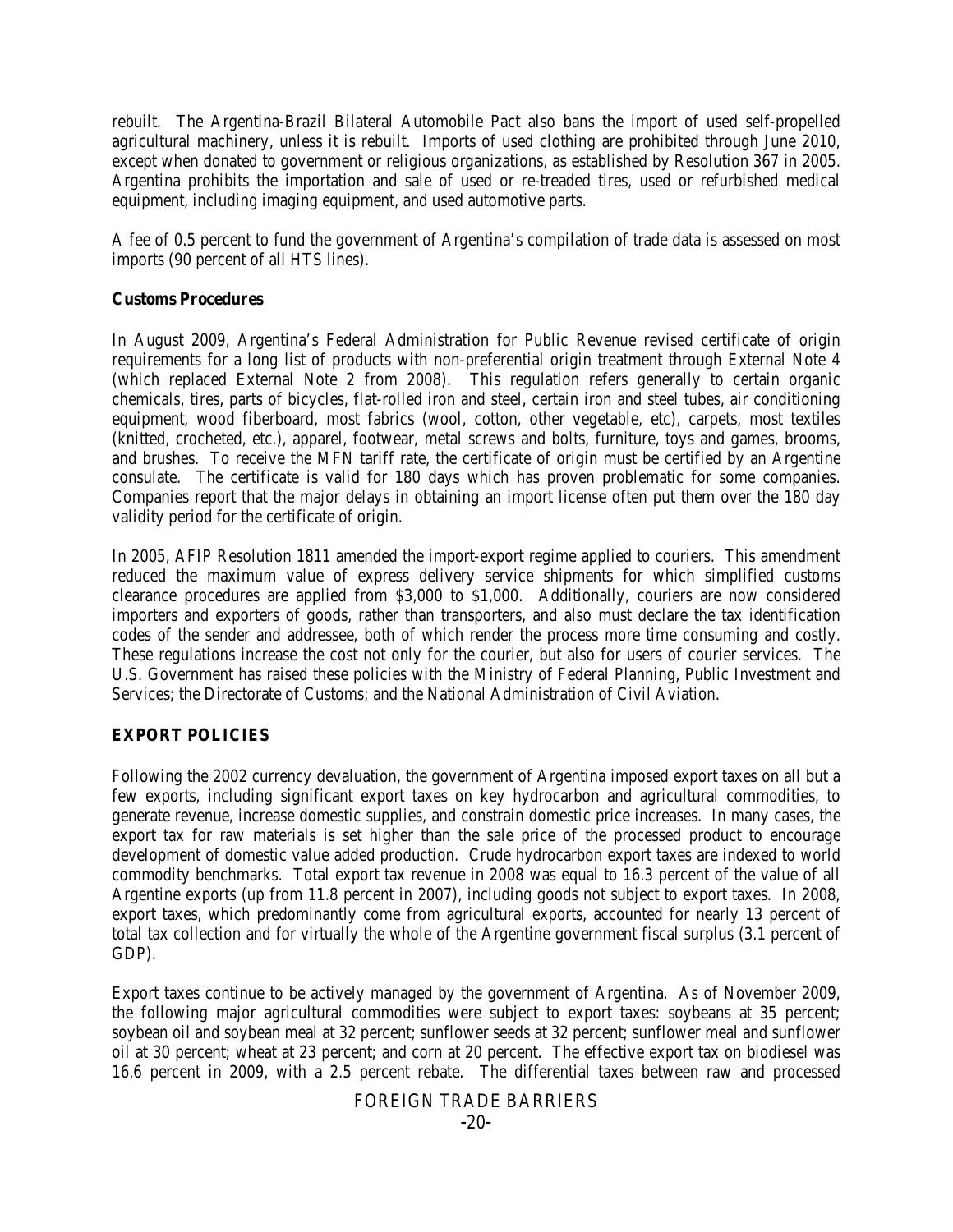rebuilt. The Argentina-Brazil Bilateral Automobile Pact also bans the import of used self-propelled agricultural machinery, unless it is rebuilt. Imports of used clothing are prohibited through June 2010, except when donated to government or religious organizations, as established by Resolution 367 in 2005. Argentina prohibits the importation and sale of used or re-treaded tires, used or refurbished medical equipment, including imaging equipment, and used automotive parts.

A fee of 0.5 percent to fund the government of Argentina's compilation of trade data is assessed on most imports (90 percent of all HTS lines).

## **Customs Procedures**

In August 2009, Argentina's Federal Administration for Public Revenue revised certificate of origin requirements for a long list of products with non-preferential origin treatment through External Note 4 (which replaced External Note 2 from 2008). This regulation refers generally to certain organic chemicals, tires, parts of bicycles, flat-rolled iron and steel, certain iron and steel tubes, air conditioning equipment, wood fiberboard, most fabrics (wool, cotton, other vegetable, etc), carpets, most textiles (knitted, crocheted, etc.), apparel, footwear, metal screws and bolts, furniture, toys and games, brooms, and brushes. To receive the MFN tariff rate, the certificate of origin must be certified by an Argentine consulate. The certificate is valid for 180 days which has proven problematic for some companies. Companies report that the major delays in obtaining an import license often put them over the 180 day validity period for the certificate of origin.

In 2005, AFIP Resolution 1811 amended the import-export regime applied to couriers. This amendment reduced the maximum value of express delivery service shipments for which simplified customs clearance procedures are applied from \$3,000 to \$1,000. Additionally, couriers are now considered importers and exporters of goods, rather than transporters, and also must declare the tax identification codes of the sender and addressee, both of which render the process more time consuming and costly. These regulations increase the cost not only for the courier, but also for users of courier services. The U.S. Government has raised these policies with the Ministry of Federal Planning, Public Investment and Services; the Directorate of Customs; and the National Administration of Civil Aviation.

# **EXPORT POLICIES**

Following the 2002 currency devaluation, the government of Argentina imposed export taxes on all but a few exports, including significant export taxes on key hydrocarbon and agricultural commodities, to generate revenue, increase domestic supplies, and constrain domestic price increases. In many cases, the export tax for raw materials is set higher than the sale price of the processed product to encourage development of domestic value added production. Crude hydrocarbon export taxes are indexed to world commodity benchmarks. Total export tax revenue in 2008 was equal to 16.3 percent of the value of all Argentine exports (up from 11.8 percent in 2007), including goods not subject to export taxes. In 2008, export taxes, which predominantly come from agricultural exports, accounted for nearly 13 percent of total tax collection and for virtually the whole of the Argentine government fiscal surplus (3.1 percent of GDP).

Export taxes continue to be actively managed by the government of Argentina. As of November 2009, the following major agricultural commodities were subject to export taxes: soybeans at 35 percent; soybean oil and soybean meal at 32 percent; sunflower seeds at 32 percent; sunflower meal and sunflower oil at 30 percent; wheat at 23 percent; and corn at 20 percent. The effective export tax on biodiesel was 16.6 percent in 2009, with a 2.5 percent rebate. The differential taxes between raw and processed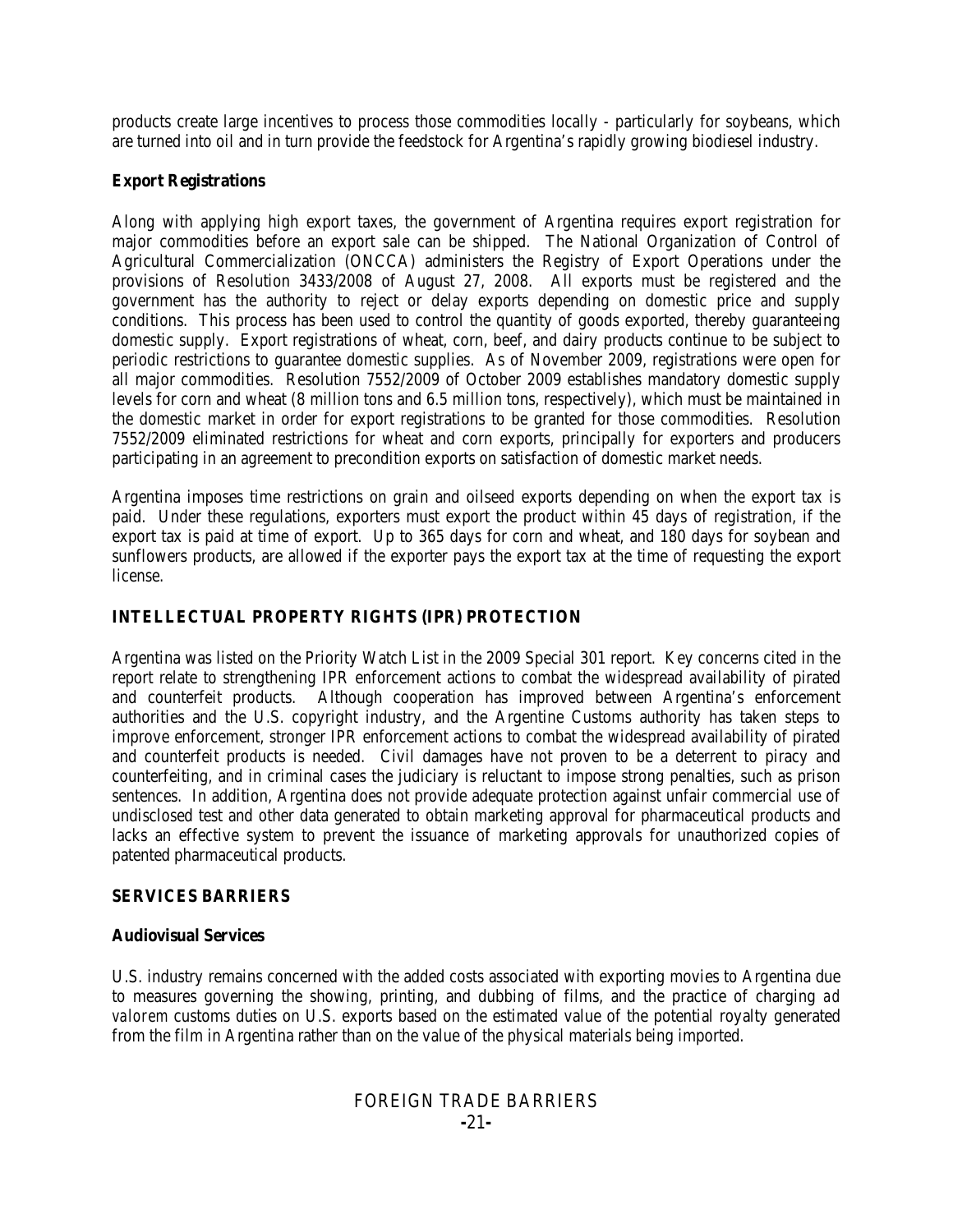products create large incentives to process those commodities locally - particularly for soybeans, which are turned into oil and in turn provide the feedstock for Argentina's rapidly growing biodiesel industry.

## **Export Registrations**

Along with applying high export taxes, the government of Argentina requires export registration for major commodities before an export sale can be shipped. The National Organization of Control of Agricultural Commercialization (ONCCA) administers the Registry of Export Operations under the provisions of Resolution 3433/2008 of August 27, 2008. All exports must be registered and the government has the authority to reject or delay exports depending on domestic price and supply conditions. This process has been used to control the quantity of goods exported, thereby guaranteeing domestic supply. Export registrations of wheat, corn, beef, and dairy products continue to be subject to periodic restrictions to guarantee domestic supplies. As of November 2009, registrations were open for all major commodities. Resolution 7552/2009 of October 2009 establishes mandatory domestic supply levels for corn and wheat (8 million tons and 6.5 million tons, respectively), which must be maintained in the domestic market in order for export registrations to be granted for those commodities. Resolution 7552/2009 eliminated restrictions for wheat and corn exports, principally for exporters and producers participating in an agreement to precondition exports on satisfaction of domestic market needs.

Argentina imposes time restrictions on grain and oilseed exports depending on when the export tax is paid. Under these regulations, exporters must export the product within 45 days of registration, if the export tax is paid at time of export. Up to 365 days for corn and wheat, and 180 days for soybean and sunflowers products, are allowed if the exporter pays the export tax at the time of requesting the export license.

# **INTELLECTUAL PROPERTY RIGHTS (IPR) PROTECTION**

Argentina was listed on the Priority Watch List in the 2009 Special 301 report. Key concerns cited in the report relate to strengthening IPR enforcement actions to combat the widespread availability of pirated and counterfeit products. Although cooperation has improved between Argentina's enforcement authorities and the U.S. copyright industry, and the Argentine Customs authority has taken steps to improve enforcement, stronger IPR enforcement actions to combat the widespread availability of pirated and counterfeit products is needed. Civil damages have not proven to be a deterrent to piracy and counterfeiting, and in criminal cases the judiciary is reluctant to impose strong penalties, such as prison sentences. In addition, Argentina does not provide adequate protection against unfair commercial use of undisclosed test and other data generated to obtain marketing approval for pharmaceutical products and lacks an effective system to prevent the issuance of marketing approvals for unauthorized copies of patented pharmaceutical products.

#### **SERVICES BARRIERS**

#### **Audiovisual Services**

U.S. industry remains concerned with the added costs associated with exporting movies to Argentina due to measures governing the showing, printing, and dubbing of films, and the practice of charging *ad*  valorem customs duties on U.S. exports based on the estimated value of the potential royalty generated from the film in Argentina rather than on the value of the physical materials being imported.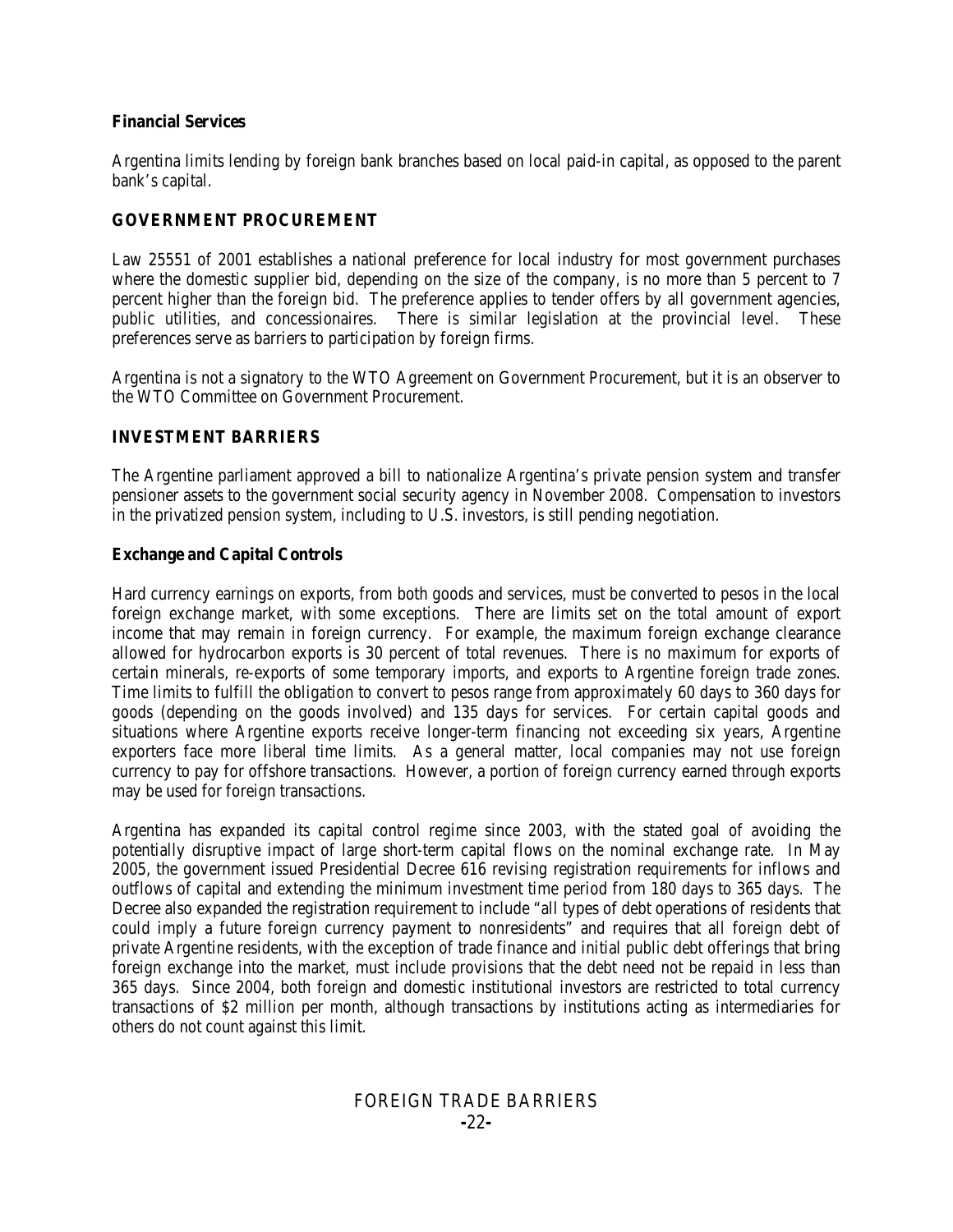## **Financial Services**

Argentina limits lending by foreign bank branches based on local paid-in capital, as opposed to the parent bank's capital.

# **GOVERNMENT PROCUREMENT**

Law 25551 of 2001 establishes a national preference for local industry for most government purchases where the domestic supplier bid, depending on the size of the company, is no more than 5 percent to 7 percent higher than the foreign bid. The preference applies to tender offers by all government agencies, public utilities, and concessionaires. There is similar legislation at the provincial level. These preferences serve as barriers to participation by foreign firms.

Argentina is not a signatory to the WTO Agreement on Government Procurement, but it is an observer to the WTO Committee on Government Procurement.

# **INVESTMENT BARRIERS**

The Argentine parliament approved a bill to nationalize Argentina's private pension system and transfer pensioner assets to the government social security agency in November 2008. Compensation to investors in the privatized pension system, including to U.S. investors, is still pending negotiation.

# **Exchange and Capital Controls**

Hard currency earnings on exports, from both goods and services, must be converted to pesos in the local foreign exchange market, with some exceptions. There are limits set on the total amount of export income that may remain in foreign currency. For example, the maximum foreign exchange clearance allowed for hydrocarbon exports is 30 percent of total revenues. There is no maximum for exports of certain minerals, re-exports of some temporary imports, and exports to Argentine foreign trade zones. Time limits to fulfill the obligation to convert to pesos range from approximately 60 days to 360 days for goods (depending on the goods involved) and 135 days for services. For certain capital goods and situations where Argentine exports receive longer-term financing not exceeding six years, Argentine exporters face more liberal time limits. As a general matter, local companies may not use foreign currency to pay for offshore transactions. However, a portion of foreign currency earned through exports may be used for foreign transactions.

Argentina has expanded its capital control regime since 2003, with the stated goal of avoiding the potentially disruptive impact of large short-term capital flows on the nominal exchange rate. In May 2005, the government issued Presidential Decree 616 revising registration requirements for inflows and outflows of capital and extending the minimum investment time period from 180 days to 365 days. The Decree also expanded the registration requirement to include "all types of debt operations of residents that could imply a future foreign currency payment to nonresidents" and requires that all foreign debt of private Argentine residents, with the exception of trade finance and initial public debt offerings that bring foreign exchange into the market, must include provisions that the debt need not be repaid in less than 365 days. Since 2004, both foreign and domestic institutional investors are restricted to total currency transactions of \$2 million per month, although transactions by institutions acting as intermediaries for others do not count against this limit.